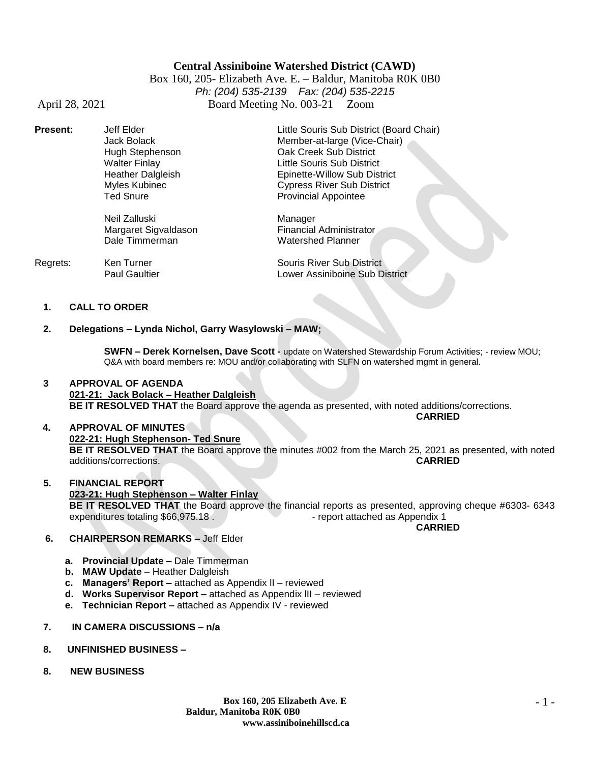### **Central Assiniboine Watershed District (CAWD)**

Box 160, 205- Elizabeth Ave. E. – Baldur, Manitoba R0K 0B0 *Ph: (204) 535-2139 Fax: (204) 535-2215* April 28, 2021 Board Meeting No. 003-21 Zoom

| <b>Present:</b> | Jeff Elder               | Little Souris Sub District (Board Chair) |
|-----------------|--------------------------|------------------------------------------|
|                 | Jack Bolack              | Member-at-large (Vice-Chair)             |
|                 | Hugh Stephenson          | Oak Creek Sub District                   |
|                 | <b>Walter Finlay</b>     | Little Souris Sub District               |
|                 | <b>Heather Dalgleish</b> | Epinette-Willow Sub District             |
|                 | Myles Kubinec            | <b>Cypress River Sub District</b>        |
|                 | <b>Ted Snure</b>         | <b>Provincial Appointee</b>              |
|                 | Neil Zalluski            | Manager                                  |
|                 | Margaret Sigvaldason     | <b>Financial Administrator</b>           |
|                 | Dale Timmerman           | <b>Watershed Planner</b>                 |

| Regrets: | Ken Turner           | Souris River Sub District      |
|----------|----------------------|--------------------------------|
|          | <b>Paul Gaultier</b> | Lower Assiniboine Sub District |

#### **1. CALL TO ORDER**

#### **2. Delegations – Lynda Nichol, Garry Wasylowski – MAW;**

**SWFN – Derek Kornelsen, Dave Scott -** update on Watershed Stewardship Forum Activities; - review MOU; Q&A with board members re: MOU and/or collaborating with SLFN on watershed mgmt in general.

#### **3 APPROVAL OF AGENDA 021-21: Jack Bolack – Heather Dalgleish BE IT RESOLVED THAT** the Board approve the agenda as presented, with noted additions/corrections. **CARRIED**

 **4. APPROVAL OF MINUTES 022-21: Hugh Stephenson- Ted Snure BE IT RESOLVED THAT** the Board approve the minutes #002 from the March 25, 2021 as presented, with noted additions/corrections. additions/corrections.

#### **5. FINANCIAL REPORT 023-21: Hugh Stephenson – Walter Finlay BE IT RESOLVED THAT** the Board approve the financial reports as presented, approving cheque #6303- 6343 expenditures totaling \$66,975.18 . The state of the report attached as Appendix 1 **CARRIED**

- **6. CHAIRPERSON REMARKS –** Jeff Elder
	- **a. Provincial Update –** Dale Timmerman
	- **b. MAW Update**  Heather Dalgleish
	- **c. Managers' Report –** attached as Appendix lI reviewed
	- **d. Works Supervisor Report –** attached as Appendix lII reviewed
	- **e. Technician Report –** attached as Appendix IV reviewed
- **7. IN CAMERA DISCUSSIONS – n/a**
- **8. UNFINISHED BUSINESS –**
- **8. NEW BUSINESS**